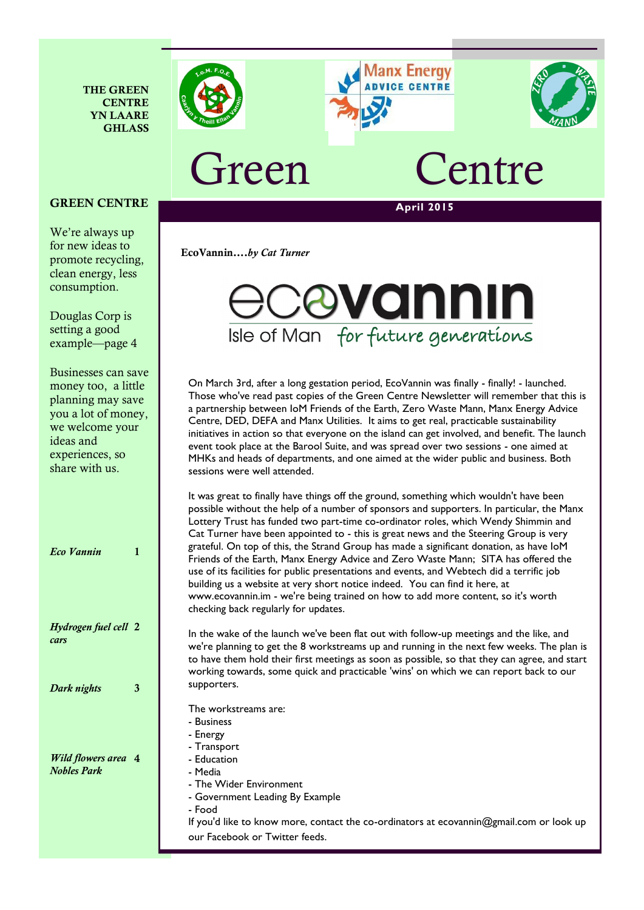





## Freen Centre

**EcoVannin….***by Cat Turner* 

## **April 2015**

#### **GREEN CENTRE**

**THE GREEN CENTRE YN LAARE GHLASS**

We're always up for new ideas to promote recycling, clean energy, less consumption.

Douglas Corp is setting a good example—page 4

Businesses can save money too, a little planning may save you a lot of money, we welcome your ideas and experiences, so share with us.

| <b>Eco Vannin</b>                                | 1 |
|--------------------------------------------------|---|
| Hydrogen fuel cell 2<br>cars                     |   |
| Dark nights                                      | 3 |
| <b>Wild flowers area</b> 4<br><b>Nobles Park</b> |   |

# bvonnin Isle of Man for future generations

On March 3rd, after a long gestation period, EcoVannin was finally - finally! - launched. Those who've read past copies of the Green Centre Newsletter will remember that this is a partnership between IoM Friends of the Earth, Zero Waste Mann, Manx Energy Advice Centre, DED, DEFA and Manx Utilities. It aims to get real, practicable sustainability initiatives in action so that everyone on the island can get involved, and benefit. The launch event took place at the Barool Suite, and was spread over two sessions - one aimed at MHKs and heads of departments, and one aimed at the wider public and business. Both sessions were well attended.

It was great to finally have things off the ground, something which wouldn't have been possible without the help of a number of sponsors and supporters. In particular, the Manx Lottery Trust has funded two part-time co-ordinator roles, which Wendy Shimmin and Cat Turner have been appointed to - this is great news and the Steering Group is very grateful. On top of this, the Strand Group has made a significant donation, as have IoM Friends of the Earth, Manx Energy Advice and Zero Waste Mann; SITA has offered the use of its facilities for public presentations and events, and Webtech did a terrific job building us a website at very short notice indeed. You can find it here, at www.ecovannin.im - we're being trained on how to add more content, so it's worth checking back regularly for updates.

In the wake of the launch we've been flat out with follow-up meetings and the like, and we're planning to get the 8 workstreams up and running in the next few weeks. The plan is to have them hold their first meetings as soon as possible, so that they can agree, and start working towards, some quick and practicable 'wins' on which we can report back to our supporters.

The workstreams are:

- Business - Energy
- Transport
- Education
- Media
- The Wider Environment
- Government Leading By Example
- Food

If you'd like to know more, contact the co-ordinators at ecovannin@gmail.com or look up our Facebook or Twitter feeds[.](https://www.foe.co.uk/what_we_do/bee_cause_donate_get_bee_saver_kit_39413_b.html)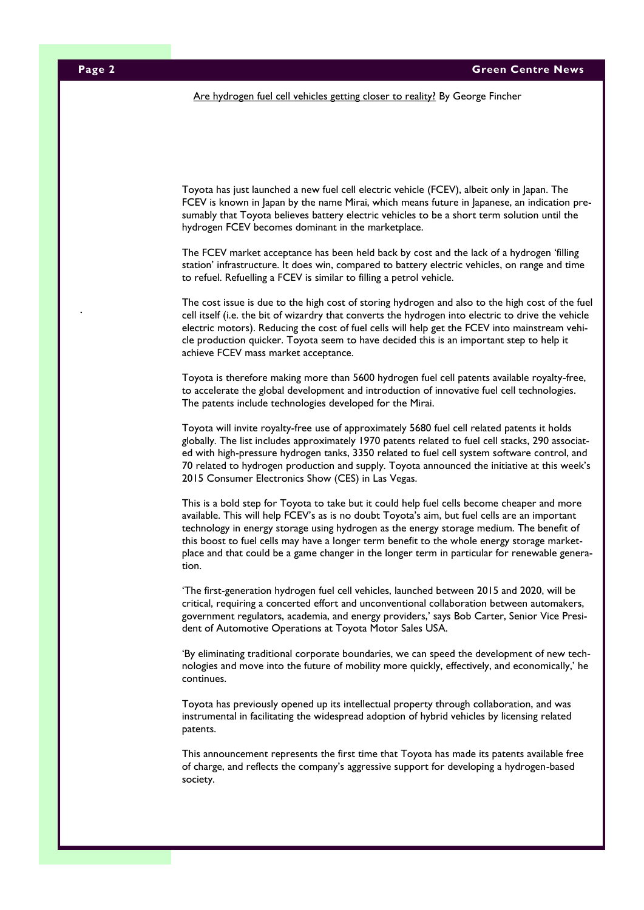Are hydrogen fuel cell vehicles getting closer to reality? By George Fincher

Toyota has just launched a new fuel cell electric vehicle (FCEV), albeit only in Japan. The FCEV is known in Japan by the name Mirai, which means future in Japanese, an indication presumably that Toyota believes battery electric vehicles to be a short term solution until the hydrogen FCEV becomes dominant in the marketplace.

The FCEV market acceptance has been held back by cost and the lack of a hydrogen 'filling station' infrastructure. It does win, compared to battery electric vehicles, on range and time to refuel. Refuelling a FCEV is similar to filling a petrol vehicle.

The cost issue is due to the high cost of storing hydrogen and also to the high cost of the fuel cell itself (i.e. the bit of wizardry that converts the hydrogen into electric to drive the vehicle electric motors). Reducing the cost of fuel cells will help get the FCEV into mainstream vehicle production quicker. Toyota seem to have decided this is an important step to help it achieve FCEV mass market acceptance.

Toyota is therefore making more than 5600 hydrogen fuel cell patents available royalty-free, to accelerate the global development and introduction of innovative fuel cell technologies. The patents include technologies developed for the Mirai.

Toyota will invite royalty-free use of approximately 5680 fuel cell related patents it holds globally. The list includes approximately 1970 patents related to fuel cell stacks, 290 associated with high-pressure hydrogen tanks, 3350 related to fuel cell system software control, and 70 related to hydrogen production and supply. Toyota announced the initiative at this week's 2015 Consumer Electronics Show (CES) in Las Vegas.

This is a bold step for Toyota to take but it could help fuel cells become cheaper and more available. This will help FCEV's as is no doubt Toyota's aim, but fuel cells are an important technology in energy storage using hydrogen as the energy storage medium. The benefit of this boost to fuel cells may have a longer term benefit to the whole energy storage marketplace and that could be a game changer in the longer term in particular for renewable generation.

'The first-generation hydrogen fuel cell vehicles, launched between 2015 and 2020, will be critical, requiring a concerted effort and unconventional collaboration between automakers, government regulators, academia, and energy providers,' says Bob Carter, Senior Vice President of Automotive Operations at Toyota Motor Sales USA.

'By eliminating traditional corporate boundaries, we can speed the development of new technologies and move into the future of mobility more quickly, effectively, and economically,' he continues.

Toyota has previously opened up its intellectual property through collaboration, and was instrumental in facilitating the widespread adoption of hybrid vehicles by licensing related patents.

This announcement represents the first time that Toyota has made its patents available free of charge, and reflects the company's aggressive support for developing a hydrogen-based society.

.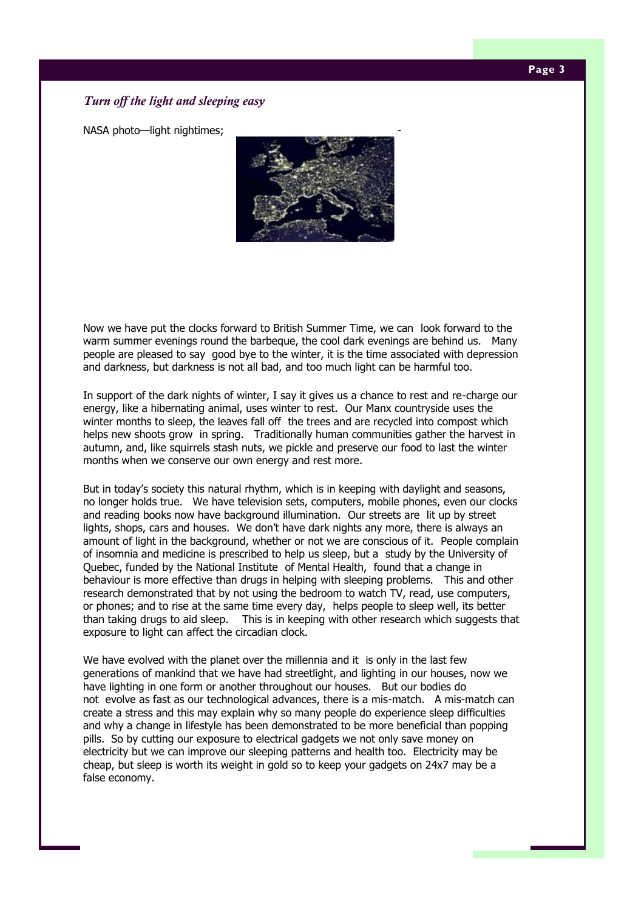#### **Page 3**

#### *Turn off the light and sleeping easy*

NASA photo-light nightimes;



Now we have put the clocks forward to British Summer Time, we can look forward to the warm summer evenings round the barbeque, the cool dark evenings are behind us. Many people are pleased to say good bye to the winter, it is the time associated with depression and darkness, but darkness is not all bad, and too much light can be harmful too.

In support of the dark nights of winter, I say it gives us a chance to rest and re-charge our energy, like a hibernating animal, uses winter to rest. Our Manx countryside uses the winter months to sleep, the leaves fall off the trees and are recycled into compost which helps new shoots grow in spring. Traditionally human communities gather the harvest in autumn, and, like squirrels stash nuts, we pickle and preserve our food to last the winter months when we conserve our own energy and rest more.

But in today's society this natural rhythm, which is in keeping with daylight and seasons, no longer holds true. We have television sets, computers, mobile phones, even our clocks and reading books now have background illumination. Our streets are lit up by street lights, shops, cars and houses. We don't have dark nights any more, there is always an amount of light in the background, whether or not we are conscious of it. People complain of insomnia and medicine is prescribed to help us sleep, but a study by the University of Quebec, funded by the National Institute of Mental Health, found that a change in behaviour is more effective than drugs in helping with sleeping problems. This and other research demonstrated that by not using the bedroom to watch TV, read, use computers, or phones; and to rise at the same time every day, helps people to sleep well, its better than taking drugs to aid sleep. This is in keeping with other research which suggests that exposure to light can affect the circadian clock.

We have evolved with the planet over the millennia and it is only in the last few generations of mankind that we have had streetlight, and lighting in our houses, now we have lighting in one form or another throughout our houses. But our bodies do not evolve as fast as our technological advances, there is a mis-match. A mis-match can create a stress and this may explain why so many people do experience sleep difficulties and why a change in lifestyle has been demonstrated to be more beneficial than popping pills. So by cutting our exposure to electrical gadgets we not only save money on electricity but we can improve our sleeping patterns and health too. Electricity may be cheap, but sleep is worth its weight in gold so to keep your gadgets on 24x7 may be a false economy.